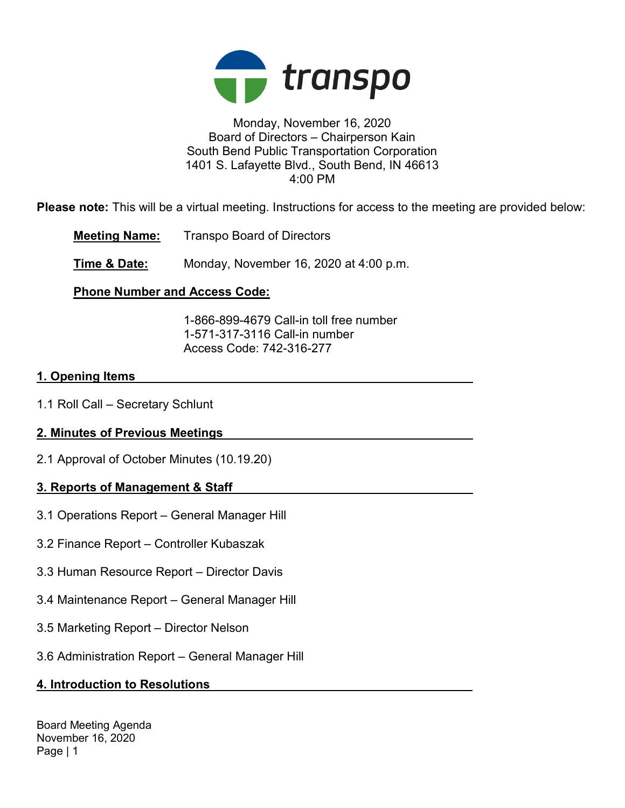

#### Monday, November 16, 2020 Board of Directors – Chairperson Kain South Bend Public Transportation Corporation 1401 S. Lafayette Blvd., South Bend, IN 46613 4:00 PM

Please note: This will be a virtual meeting. Instructions for access to the meeting are provided below:

Meeting Name: Transpo Board of Directors

**Time & Date:** Monday, November 16, 2020 at 4:00 p.m.

## Phone Number and Access Code:

 1-866-899-4679 Call-in toll free number 1-571-317-3116 Call-in number Access Code: 742-316-277

### 1. Opening Items

1.1 Roll Call – Secretary Schlunt

## 2. Minutes of Previous Meetings

2.1 Approval of October Minutes (10.19.20)

## 3. Reports of Management & Staff

- 3.1 Operations Report General Manager Hill
- 3.2 Finance Report Controller Kubaszak
- 3.3 Human Resource Report Director Davis
- 3.4 Maintenance Report General Manager Hill
- 3.5 Marketing Report Director Nelson
- 3.6 Administration Report General Manager Hill

## 4. Introduction to Resolutions

Board Meeting Agenda November 16, 2020 Page | 1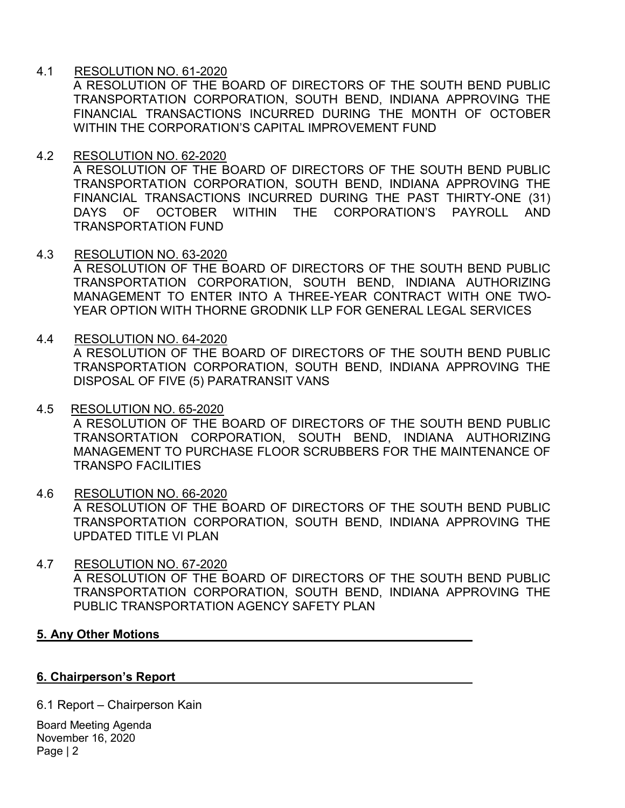### 4.1 RESOLUTION NO. 61-2020

A RESOLUTION OF THE BOARD OF DIRECTORS OF THE SOUTH BEND PUBLIC TRANSPORTATION CORPORATION, SOUTH BEND, INDIANA APPROVING THE FINANCIAL TRANSACTIONS INCURRED DURING THE MONTH OF OCTOBER WITHIN THE CORPORATION'S CAPITAL IMPROVEMENT FUND

#### 4.2 RESOLUTION NO. 62-2020

A RESOLUTION OF THE BOARD OF DIRECTORS OF THE SOUTH BEND PUBLIC TRANSPORTATION CORPORATION, SOUTH BEND, INDIANA APPROVING THE FINANCIAL TRANSACTIONS INCURRED DURING THE PAST THIRTY-ONE (31) DAYS OF OCTOBER WITHIN THE CORPORATION'S PAYROLL AND TRANSPORTATION FUND

#### 4.3 RESOLUTION NO. 63-2020

A RESOLUTION OF THE BOARD OF DIRECTORS OF THE SOUTH BEND PUBLIC TRANSPORTATION CORPORATION, SOUTH BEND, INDIANA AUTHORIZING MANAGEMENT TO ENTER INTO A THREE-YEAR CONTRACT WITH ONE TWO-YEAR OPTION WITH THORNE GRODNIK LLP FOR GENERAL LEGAL SERVICES

#### 4.4 RESOLUTION NO. 64-2020

TRANSPO FACILITIES

A RESOLUTION OF THE BOARD OF DIRECTORS OF THE SOUTH BEND PUBLIC TRANSPORTATION CORPORATION, SOUTH BEND, INDIANA APPROVING THE DISPOSAL OF FIVE (5) PARATRANSIT VANS

#### 4.5 RESOLUTION NO. 65-2020 A RESOLUTION OF THE BOARD OF DIRECTORS OF THE SOUTH BEND PUBLIC TRANSORTATION CORPORATION, SOUTH BEND, INDIANA AUTHORIZING MANAGEMENT TO PURCHASE FLOOR SCRUBBERS FOR THE MAINTENANCE OF

# 4.6 RESOLUTION NO. 66-2020 A RESOLUTION OF THE BOARD OF DIRECTORS OF THE SOUTH BEND PUBLIC TRANSPORTATION CORPORATION, SOUTH BEND, INDIANA APPROVING THE UPDATED TITLE VI PLAN

### 4.7 RESOLUTION NO. 67-2020 A RESOLUTION OF THE BOARD OF DIRECTORS OF THE SOUTH BEND PUBLIC TRANSPORTATION CORPORATION, SOUTH BEND, INDIANA APPROVING THE PUBLIC TRANSPORTATION AGENCY SAFETY PLAN

#### 5. Any Other Motions

#### 6. Chairperson's Report

6.1 Report – Chairperson Kain

Board Meeting Agenda November 16, 2020 Page | 2